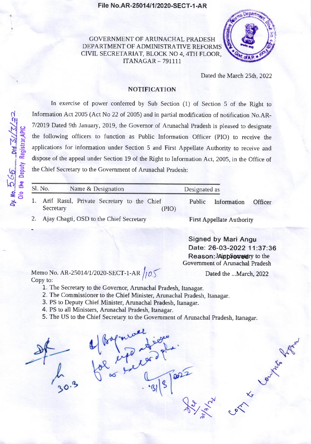## File No.AR-25014/1/2020-SECT-1-AR

GOVERNMENT OF ARUNACHAL PRADESH DEPARTMENT OF ADMINISTRATIVE REFORMS CIVIL SECRETARIAT, BLOCK NO 4, 4TH FLOOR, **ITANAGAR - 791111** 



Dated the March 25th, 2022

## **NOTIFICATION**

In exercise of power conferred by Sub Section (1) of Section 5 of the Right to Information Act 2005 (Act No 22 of 2005) and in partial modification of notification No.AR-7/2019 Dated 9th January, 2019, the Governor of Arunachal Pradesh is pleased to designate the following officers to function as Public Information Officer (PIO) to receive the applications for information under Section 5 and First Appellate Authority to receive and dispose of the appeal under Section 19 of the Right to Information Act, 2005, in the Office of the Chief Secretary to the Government of Arunachal Pradesh:

| Sl. No.<br>Name & Designation                                       | Designated as                           |  |
|---------------------------------------------------------------------|-----------------------------------------|--|
| 1. Arif Rasul, Private Secretary to the Chief<br>Secretary<br>(PIO) | Public<br>Information<br><b>Officer</b> |  |
| 2. Ajay Chagti, OSD to the Chief Secretary                          | <b>First Appellate Authority</b>        |  |

**Signed by Mari Angu** Date: 26-03-2022 11:37:36 Reason: Approvedry to the Government of Arunachal Pradesh

Dated the ...March, 2022

1 Level Mayo

Memo No. AR-25014/1/2020-SECT-1-AR  $/105$ Copy to:

- 1. The Secretary to the Governor, Arunachal Pradesh, Itanagar.
- 2. The Commissioner to the Chief Minister, Arunachal Pradesh, Itanagar.
- 3. PS to Deputy Chief Minister, Arunachal Pradesh, Itanagar.
- 4. PS to all Ministers, Arunachal Pradesh, Itanagar.
- 5. The US to the Chief Secretary to the Government of Arunachal Pradesh, Itanagar.



by. No.  $\frac{5}{2}$   $65$   $\frac{6}{2}$  ...  $D$ td.  $\frac{7}{2}$ // $\frac{7}{2}$ / $\frac{7}{2}$ ...

hier seul.<br>Ul Bapparanticouse